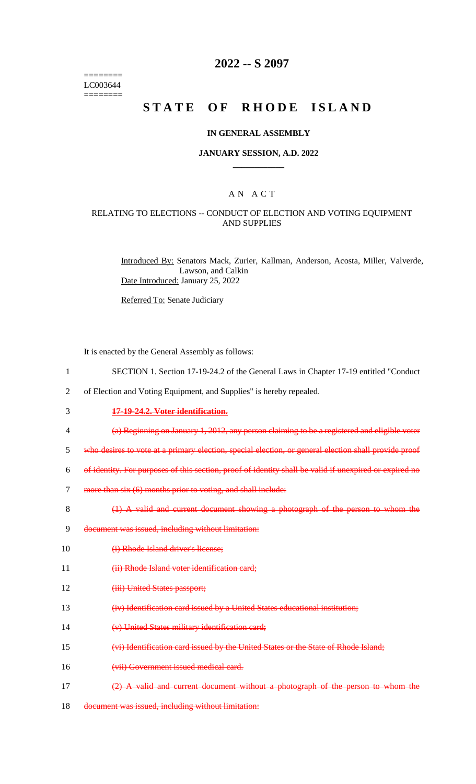======== LC003644 ========

# **2022 -- S 2097**

# **STATE OF RHODE ISLAND**

#### **IN GENERAL ASSEMBLY**

### **JANUARY SESSION, A.D. 2022 \_\_\_\_\_\_\_\_\_\_\_\_**

### A N A C T

### RELATING TO ELECTIONS -- CONDUCT OF ELECTION AND VOTING EQUIPMENT AND SUPPLIES

Introduced By: Senators Mack, Zurier, Kallman, Anderson, Acosta, Miller, Valverde, Lawson, and Calkin Date Introduced: January 25, 2022

Referred To: Senate Judiciary

It is enacted by the General Assembly as follows:

- 1 SECTION 1. Section 17-19-24.2 of the General Laws in Chapter 17-19 entitled "Conduct
- 2 of Election and Voting Equipment, and Supplies" is hereby repealed.
- 3 **17-19-24.2. Voter identification.**
- 4 (a) Beginning on January 1, 2012, any person claiming to be a registered and eligible voter
- 5 who desires to vote at a primary election, special election, or general election shall provide proof
- 6 of identity. For purposes of this section, proof of identity shall be valid if unexpired or expired no
- 7 more than six (6) months prior to voting, and shall include:
- 8 (1) A valid and current document showing a photograph of the person to whom the
- 9 document was issued, including without limitation:
- 10 (i) Rhode Island driver's license;
- 11 (ii) Rhode Island voter identification card;
- 12 (iii) United States passport;
- 13 (iv) Identification card issued by a United States educational institution;
- 14 (v) United States military identification card;
- 15 (vi) Identification card issued by the United States or the State of Rhode Island;
- 16 (vii) Government issued medical card.
- 17 (2) A valid and current document without a photograph of the person to whom the
- 18 document was issued, including without limitation: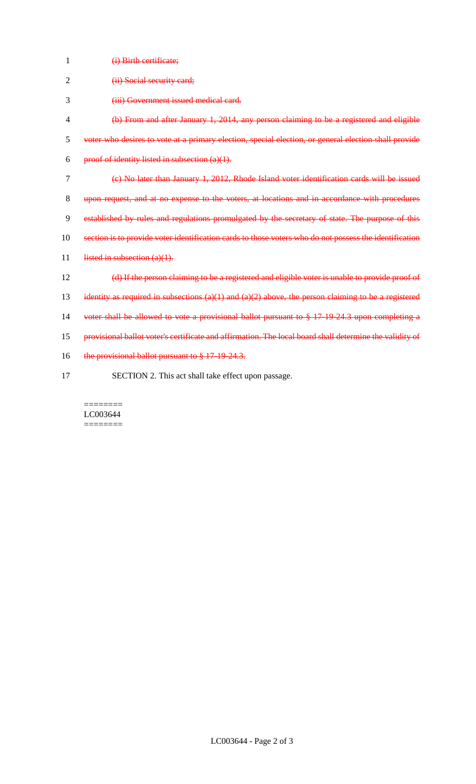| 1              | (i) Birth certificate;                                                                                  |
|----------------|---------------------------------------------------------------------------------------------------------|
| $\overline{2}$ | (ii) Social security card;                                                                              |
| 3              | (iii) Government issued medical card.                                                                   |
| 4              | (b) From and after January 1, 2014, any person claiming to be a registered and eligible                 |
| 5              | voter who desires to vote at a primary election, special election, or general election shall provide    |
| 6              | proof of identity listed in subsection $(a)(1)$ .                                                       |
| 7              | (e) No later than January 1, 2012, Rhode Island voter identification cards will be issued               |
| 8              | upon request, and at no expense to the voters, at locations and in accordance with procedures           |
| 9              | established by rules and regulations promulgated by the secretary of state. The purpose of this         |
| 10             | section is to provide voter identification cards to those voters who do not possess the identification  |
| 11             | listed in subsection $(a)(1)$ .                                                                         |
| 12             | (d) If the person claiming to be a registered and eligible voter is unable to provide proof of          |
| 13             | identity as required in subsections $(a)(1)$ and $(a)(2)$ above, the person claiming to be a registered |
| 14             | voter shall be allowed to vote a provisional ballot pursuant to $\S 17 19 24.3$ upon completing a       |
| 15             | provisional ballot voter's certificate and affirmation. The local board shall determine the validity of |
| 16             | the provisional ballot pursuant to § 17-19-24.3.                                                        |
| 17             | SECTION 2. This act shall take effect upon passage.                                                     |

#### ======== LC003644 ========